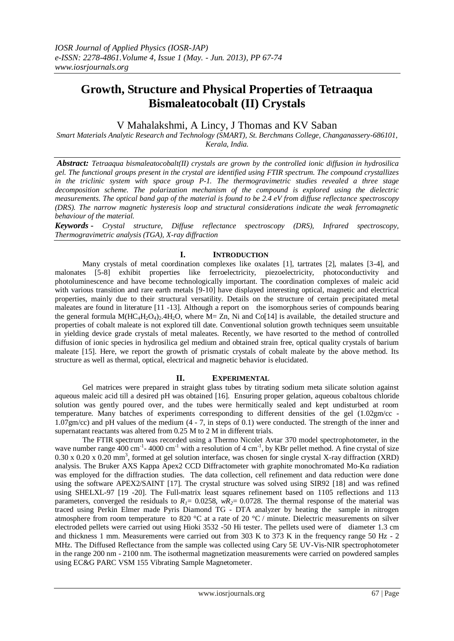# **Growth, Structure and Physical Properties of Tetraaqua Bismaleatocobalt (II) Crystals**

## V Mahalakshmi, A Lincy, J Thomas and KV Saban

*Smart Materials Analytic Research and Technology (SMART), St. Berchmans College, Changanassery-686101, Kerala, India.*

*Abstract: Tetraaqua bismaleatocobalt(II) crystals are grown by the controlled ionic diffusion in hydrosilica gel. The functional groups present in the crystal are identified using FTIR spectrum. The compound crystallizes in the triclinic system with space group P-1. The thermogravimetric studies revealed a three stage decomposition scheme. The polarization mechanism of the compound is explored using the dielectric measurements. The optical band gap of the material is found to be 2.4 eV from diffuse reflectance spectroscopy (DRS). The narrow magnetic hysteresis loop and structural considerations indicate the weak ferromagnetic behaviour of the material.*

*Keywords - Crystal structure, Diffuse reflectance spectroscopy (DRS), Infrared spectroscopy, Thermogravimetric analysis (TGA), X-ray diffraction* 

### **I. INTRODUCTION**

Many crystals of metal coordination complexes like oxalates [1], tartrates [2], malates [3-4], and malonates [5-8] exhibit properties like ferroelectricity, piezoelectricity, photoconductivity and photoluminescence and have become technologically important. The coordination complexes of maleic acid with various transition and rare earth metals [9-10] have displayed interesting optical, magnetic and electrical properties, mainly due to their structural versatility. Details on the structure of certain precipitated metal maleates are found in literature [11 -13]. Although a report on the isomorphous series of compounds bearing the general formula  $M(HC_4H_2O_4)$ . 4H<sub>2</sub>O, where M= Zn, Ni and Co[14] is available, the detailed structure and properties of cobalt maleate is not explored till date. Conventional solution growth techniques seem unsuitable in yielding device grade crystals of metal maleates. Recently, we have resorted to the method of controlled diffusion of ionic species in hydrosilica gel medium and obtained strain free, optical quality crystals of barium maleate [15]. Here, we report the growth of prismatic crystals of cobalt maleate by the above method. Its structure as well as thermal, optical, electrical and magnetic behavior is elucidated.

## **II. EXPERIMENTAL**

Gel matrices were prepared in straight glass tubes by titrating sodium meta silicate solution against aqueous maleic acid till a desired pH was obtained [16]. Ensuring proper gelation, aqueous cobaltous chloride solution was gently poured over, and the tubes were hermitically sealed and kept undisturbed at room temperature. Many batches of experiments corresponding to different densities of the gel (1.02gm/cc - 1.07gm/cc) and pH values of the medium (4 - 7, in steps of 0.1) were conducted. The strength of the inner and supernatant reactants was altered from 0.25 M to 2 M in different trials.

The FTIR spectrum was recorded using a Thermo Nicolet Avtar 370 model spectrophotometer, in the wave number range  $\frac{400 \text{ cm}^{-1}}{4000 \text{ cm}^{-1}}$  with a resolution of 4 cm<sup>-1</sup>, by KBr pellet method. A fine crystal of size  $0.30 \times 0.20 \times 0.20$  mm<sup>3</sup>, formed at gel solution interface, was chosen for single crystal X-ray diffraction (XRD) analysis. The Bruker AXS Kappa Apex2 CCD Diffractometer with graphite monochromated Mo-Kα radiation was employed for the diffraction studies. The data collection, cell refinement and data reduction were done using the software APEX2/SAINT [17]. The crystal structure was solved using SIR92 [18] and was refined using SHELXL-97 [19 -20]. The Full-matrix least squares refinement based on 1105 reflections and 113 parameters, converged the residuals to  $R_1 = 0.0258$ ,  $wR_2 = 0.0728$ . The thermal response of the material was traced using Perkin Elmer made Pyris Diamond TG - DTA analyzer by heating the sample in nitrogen atmosphere from room temperature to 820 °C at a rate of 20 °C / minute. Dielectric measurements on silver electroded pellets were carried out using Hioki 3532 -50 Hi tester. The pellets used were of diameter 1.3 cm and thickness 1 mm. Measurements were carried out from 303 K to 373 K in the frequency range 50 Hz - 2 MHz. The Diffused Reflectance from the sample was collected using Cary 5E UV-Vis-NIR spectrophotometer in the range 200 nm - 2100 nm. The isothermal magnetization measurements were carried on powdered samples using EC&G PARC VSM 155 Vibrating Sample Magnetometer.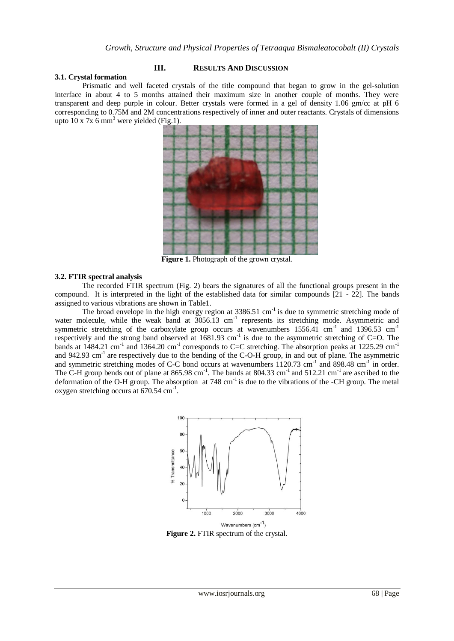#### **3.1. Crystal formation**

#### **III. RESULTS AND DISCUSSION**

Prismatic and well faceted crystals of the title compound that began to grow in the gel-solution interface in about 4 to 5 months attained their maximum size in another couple of months. They were transparent and deep purple in colour. Better crystals were formed in a gel of density 1.06 gm/cc at pH 6 corresponding to 0.75M and 2M concentrations respectively of inner and outer reactants. Crystals of dimensions upto  $10 \times 7 \times 6$  mm<sup>3</sup> were yielded (Fig.1).



**Figure 1.** Photograph of the grown crystal.

#### **3.2. FTIR spectral analysis**

The recorded FTIR spectrum (Fig. 2) bears the signatures of all the functional groups present in the compound. It is interpreted in the light of the established data for similar compounds [21 - 22]. The bands assigned to various vibrations are shown in Table1.

The broad envelope in the high energy region at  $3386.51 \text{ cm}^{-1}$  is due to symmetric stretching mode of water molecule, while the weak band at  $3056.13$  cm<sup>-1</sup> represents its stretching mode. Asymmetric and symmetric stretching of the carboxylate group occurs at wavenumbers  $1556.41$  cm<sup>-1</sup> and  $1396.53$  cm<sup>-1</sup> respectively and the strong band observed at  $1681.93 \text{ cm}^{-1}$  is due to the asymmetric stretching of C=O. The bands at 1484.21 cm<sup>-1</sup> and 1364.20 cm<sup>-1</sup> corresponds to C=C stretching. The absorption peaks at 1225.29 cm<sup>-1</sup> and 942.93 cm<sup>-1</sup> are respectively due to the bending of the C-O-H group, in and out of plane. The asymmetric and 942.93 cm<sup>-1</sup> and symmetric stretching modes of C-C bond occurs at wavenumbers 1120.73 cm<sup>-1</sup> and 898.48 cm<sup>-1</sup> in order. The C-H group bends out of plane at  $865.98 \text{ cm}^{-1}$ . The bands at  $804.33 \text{ cm}^{-1}$  and  $512.21 \text{ cm}^{-1}$  are ascribed to the deformation of the O-H group. The absorption at  $748 \text{ cm}^{-1}$  is due to the vibrations of the -CH group. The metal oxygen stretching occurs at  $670.54$  cm<sup>-1</sup>.



**Figure 2.** FTIR spectrum of the crystal.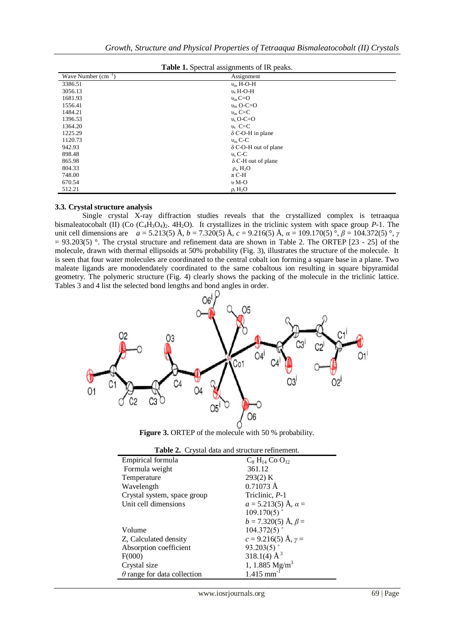| <b>Table 1.</b> Spectral assignments of IR peaks. |                             |  |  |
|---------------------------------------------------|-----------------------------|--|--|
| Wave Number $(cm^{-1})$                           | Assignment                  |  |  |
| 3386.51                                           | $v_{\rm as}$ H-O-H          |  |  |
| 3056.13                                           | $v_s$ H-O-H                 |  |  |
| 1681.93                                           | $v_{\rm as}$ C=O            |  |  |
| 1556.41                                           | $v_{\rm as}$ O-C=O          |  |  |
| 1484.21                                           | $v_{\rm as}$ C=C            |  |  |
| 1396.53                                           | $v_s$ O-C=O                 |  |  |
| 1364.20                                           | $v_s$ C=C                   |  |  |
| 1225.29                                           | $\delta$ C-O-H in plane     |  |  |
| 1120.73                                           | $v_{\rm as}$ C-C            |  |  |
| 942.93                                            | $\delta$ C-O-H out of plane |  |  |
| 898.48                                            | $v_s$ C-C                   |  |  |
| 865.98                                            | $\delta$ C-H out of plane   |  |  |
| 804.33                                            | $\rho_w H_2O$               |  |  |
| 748.00                                            | $\pi$ C-H                   |  |  |
| 670.54                                            | $\nu$ M-O                   |  |  |
| 512.21                                            | $\rho_t H_2O$               |  |  |

## **Table 1.** Spectral assignments of IR peaks.

#### **3.3. Crystal structure analysis**

Single crystal X-ray diffraction studies reveals that the crystallized complex is tetraaqua bismaleatocobalt (II) (Co  $(C_4H_3O_4)_2$ . 4H<sub>2</sub>O). It crystallizes in the triclinic system with space group *P*-1. The unit cell dimensions are *a* = 5.213(5) Å, *b* = 7.320(5) Å, *c* = 9.216(5) Å, *α* = 109.170(5) °, *β* = 104.372(5) °, *γ*  $= 93.203(5)$  °. The crystal structure and refinement data are shown in Table 2. The ORTEP [23 - 25] of the molecule, drawn with thermal ellipsoids at 50% probability (Fig. 3), illustrates the structure of the molecule. It is seen that four water molecules are coordinated to the central cobalt ion forming a square base in a plane. Two maleate ligands are monodendately coordinated to the same cobaltous ion resulting in square bipyramidal geometry. The polymeric structure (Fig. 4) clearly shows the packing of the molecule in the triclinic lattice. Tables 3 and 4 list the selected bond lengths and bond angles in order.



**Figure 3.** ORTEP of the molecule with 50 % probability.

| <b>Table 2.</b> Crystal data and structure refinement. |                                          |  |  |
|--------------------------------------------------------|------------------------------------------|--|--|
| Empirical formula                                      | $C_8$ H <sub>14</sub> Co O <sub>12</sub> |  |  |
| Formula weight                                         | 361.12                                   |  |  |
| Temperature                                            | 293(2) K                                 |  |  |
| Wavelength                                             | $0.71073 \text{ Å}$                      |  |  |
| Crystal system, space group                            | Triclinic, P-1                           |  |  |
| Unit cell dimensions                                   | $a = 5.213(5)$ Å, $\alpha =$             |  |  |
|                                                        | 109.170(5)                               |  |  |
|                                                        | $b = 7.320(5)$ Å, $\beta =$              |  |  |
| Volume                                                 | 104.372(5)                               |  |  |
| Z, Calculated density                                  | $c = 9.216(5)$ Å, $\gamma =$             |  |  |
| Absorption coefficient                                 | 93.203(5)                                |  |  |
| F(000)                                                 | 318.1(4) $\AA^3$                         |  |  |
| Crystal size                                           | 1, 1.885 $Mg/m^3$                        |  |  |
| $\theta$ range for data collection                     | $1.415$ mm <sup>-1</sup>                 |  |  |
|                                                        |                                          |  |  |

**Table 2.** Crystal data and structure refinement.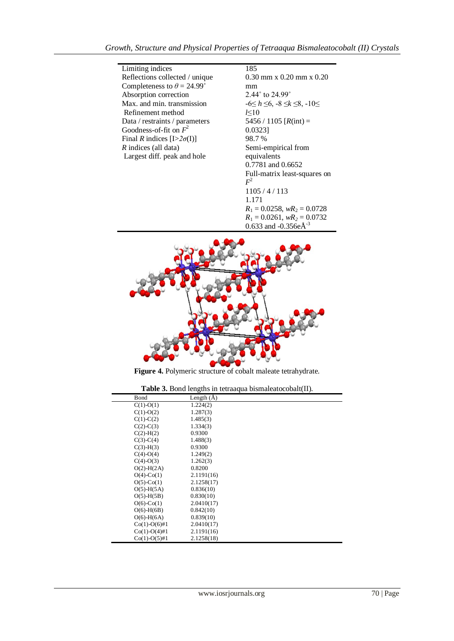| Limiting indices                         |
|------------------------------------------|
| Reflections collected / unique           |
| Completeness to $\theta = 24.99^{\circ}$ |
| Absorption correction                    |
| Max, and min. transmission               |
| Refinement method                        |
| Data / restraints / parameters           |
| Goodness-of-fit on $F^2$                 |
| Final R indices $[I>2\sigma(I)]$         |
| $R$ indices (all data)                   |
| Largest diff. peak and hole              |
|                                          |

185

0.30 mm x 0.20 mm x 0.20 mm 2.44˚ to 24.99˚ -6≤ *h* ≤6, -8 ≤*k* ≤8, -10≤ *l*≤10 5456 / 1105  $[R(int) =$ 0.0323] 98.7 % Semi-empirical from equivalents 0.7781 and 0.6652 Full-matrix least-squares on  $F<sup>2</sup>$ 1105 / 4 / 113 1.171  $R_1 = 0.0258$ ,  $wR_2 = 0.0728$  $R_1 = 0.0261$ ,  $wR_2 = 0.0732$ 0.633 and -0.356e $\AA$ <sup>-3</sup>



**Figure 4.** Polymeric structure of cobalt maleate tetrahydrate.

|  |  |  | Table 3. Bond lengths in tetraaqua bismaleatocobalt(II). |  |  |
|--|--|--|----------------------------------------------------------|--|--|
|--|--|--|----------------------------------------------------------|--|--|

| Bond             | Length $(A)$ |
|------------------|--------------|
| $C(1)-O(1)$      | 1.224(2)     |
| $C(1)-O(2)$      | 1.287(3)     |
| $C(1)-C(2)$      | 1.485(3)     |
| $C(2)-C(3)$      | 1.334(3)     |
| $C(2) - H(2)$    | 0.9300       |
| $C(3)-C(4)$      | 1.488(3)     |
| $C(3)-H(3)$      | 0.9300       |
| $C(4)-O(4)$      | 1.249(2)     |
| $C(4)-O(3)$      | 1.262(3)     |
| $O(2)$ -H $(2A)$ | 0.8200       |
| $O(4)$ -Co(1)    | 2.1191(16)   |
| $O(5)$ -Co(1)    | 2.1258(17)   |
| $O(5)$ -H $(5A)$ | 0.836(10)    |
| $O(5)$ -H $(5B)$ | 0.830(10)    |
| $O(6)$ -Co(1)    | 2.0410(17)   |
| $O(6)$ -H $(6B)$ | 0.842(10)    |
| $O(6)$ -H $(6A)$ | 0.839(10)    |
| $Co(1)-O(6)\#1$  | 2.0410(17)   |
| $Co(1)-O(4)\#1$  | 2.1191(16)   |
| $Co(1)-O(5)\#1$  | 2.1258(18)   |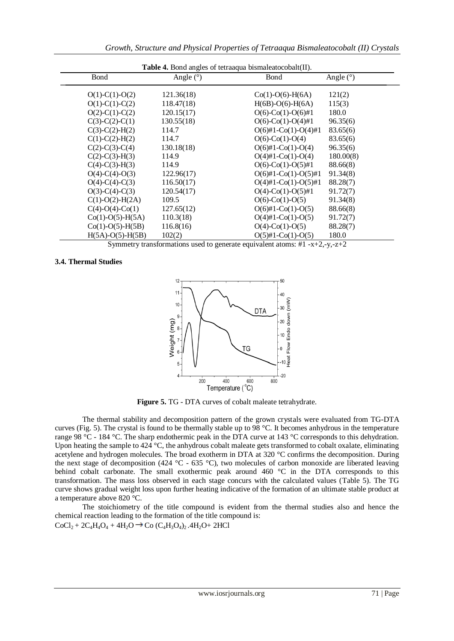| <b>Table 4.</b> Bond angles of tetraaqua bismaleatocobalt(II). |             |                        |             |
|----------------------------------------------------------------|-------------|------------------------|-------------|
| Bond                                                           | Angle $(°)$ | Bond                   | Angle $(°)$ |
| $O(1)-C(1)-O(2)$                                               | 121.36(18)  | $Co(1)-O(6)-H(6A)$     | 121(2)      |
| $O(1)$ -C(1)-C(2)                                              | 118.47(18)  | $H(6B)-O(6)-H(6A)$     | 115(3)      |
| $O(2)$ -C(1)-C(2)                                              | 120.15(17)  | $O(6)$ -Co(1)-O(6)#1   | 180.0       |
| $C(3)-C(2)-C(1)$                                               | 130.55(18)  | $O(6)$ -Co(1)-O(4)#1   | 96.35(6)    |
| $C(3)-C(2)-H(2)$                                               | 114.7       | $O(6)$ #1-Co(1)-O(4)#1 | 83.65(6)    |
| $C(1)-C(2)-H(2)$                                               | 114.7       | $O(6)$ -Co(1)-O(4)     | 83.65(6)    |
| $C(2)-C(3)-C(4)$                                               | 130.18(18)  | $O(6)$ #1-Co(1)-O(4)   | 96.35(6)    |
| $C(2)-C(3)-H(3)$                                               | 114.9       | $O(4)$ #1-Co(1)-O(4)   | 180.00(8)   |
| $C(4)-C(3)-H(3)$                                               | 114.9       | $O(6)$ -Co(1)-O(5)#1   | 88.66(8)    |
| $O(4)-C(4)-O(3)$                                               | 122.96(17)  | $O(6)$ #1-Co(1)-O(5)#1 | 91.34(8)    |
| $O(4)$ -C(4)-C(3)                                              | 116.50(17)  | $O(4)$ #1-Co(1)-O(5)#1 | 88.28(7)    |
| $O(3)-C(4)-C(3)$                                               | 120.54(17)  | $O(4)$ -Co(1)-O(5)#1   | 91.72(7)    |
| $C(1)-O(2)-H(2A)$                                              | 109.5       | $O(6)$ -Co(1)-O(5)     | 91.34(8)    |
| $C(4)-O(4)-C0(1)$                                              | 127.65(12)  | $O(6)$ #1-Co(1)-O(5)   | 88.66(8)    |
| $Co(1)-O(5)-H(5A)$                                             | 110.3(18)   | $O(4)$ #1-Co(1)-O(5)   | 91.72(7)    |
| $Co(1)-O(5)-H(5B)$                                             | 116.8(16)   | $O(4)$ -Co(1)-O(5)     | 88.28(7)    |
| $H(5A)-O(5)-H(5B)$                                             | 102(2)      | $O(5)$ #1-Co(1)-O(5)   | 180.0       |

Symmetry transformations used to generate equivalent atoms: #1 -x+2,-y,-z+2

#### **3.4. Thermal Studies**



**Figure 5.** TG - DTA curves of cobalt maleate tetrahydrate.

The thermal stability and decomposition pattern of the grown crystals were evaluated from TG-DTA curves (Fig. 5). The crystal is found to be thermally stable up to 98 °C. It becomes anhydrous in the temperature range 98 °C - 184 °C. The sharp endothermic peak in the DTA curve at 143 °C corresponds to this dehydration. Upon heating the sample to 424 °C, the anhydrous cobalt maleate gets transformed to cobalt oxalate, eliminating acetylene and hydrogen molecules. The broad exotherm in DTA at 320 °C confirms the decomposition. During the next stage of decomposition (424 °C - 635 °C), two molecules of carbon monoxide are liberated leaving behind cobalt carbonate. The small exothermic peak around  $460\degree$ C in the DTA corresponds to this transformation. The mass loss observed in each stage concurs with the calculated values (Table 5). The TG curve shows gradual weight loss upon further heating indicative of the formation of an ultimate stable product at a temperature above 820 °C.

The stoichiometry of the title compound is evident from the thermal studies also and hence the chemical reaction leading to the formation of the title compound is:  $CoCl_2 + 2C_4H_4O_4 + 4H_2O \rightarrow Co (C_4H_3O_4)_2.4H_2O + 2HCl$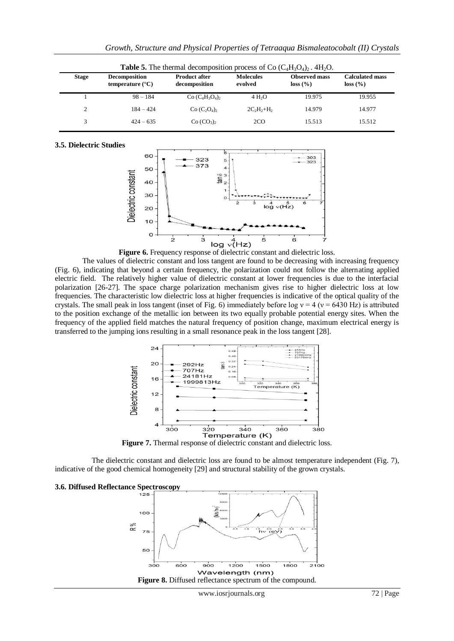| <b>Table 5.</b> The thermal decomposition process of Co $(C_4H_3O_4)_2$ . 4H <sub>2</sub> O. |                                            |                                       |                             |                                  |                                    |
|----------------------------------------------------------------------------------------------|--------------------------------------------|---------------------------------------|-----------------------------|----------------------------------|------------------------------------|
| <b>Stage</b>                                                                                 | Decomposition<br>temperature $(^{\circ}C)$ | <b>Product after</b><br>decomposition | <b>Molecules</b><br>evolved | <b>Observed mass</b><br>loss (%) | <b>Calculated mass</b><br>loss (%) |
|                                                                                              | $98 - 184$                                 | $Co (C_4H_3O_4)$                      | 4 H <sub>2</sub> O          | 19.975                           | 19.955                             |
| 2                                                                                            | $184 - 424$                                | $Co (C2O4)2$                          | $2C_2H_2+H_2$               | 14.979                           | 14.977                             |
|                                                                                              | $424 - 635$                                | Co (CO <sub>3</sub> )                 | 2CO                         | 15.513                           | 15.512                             |

#### **3.5. Dielectric Studies**



The values of dielectric constant and loss tangent are found to be decreasing with increasing frequency (Fig. 6), indicating that beyond a certain frequency, the polarization could not follow the alternating applied electric field. The relatively higher value of dielectric constant at lower frequencies is due to the interfacial polarization [26-27]. The space charge polarization mechanism gives rise to higher dielectric loss at low frequencies. The characteristic low dielectric loss at higher frequencies is indicative of the optical quality of the crystals. The small peak in loss tangent (inset of Fig. 6) immediately before log  $v = 4$  ( $v = 6430$  Hz) is attributed to the position exchange of the metallic ion between its two equally probable potential energy sites. When the frequency of the applied field matches the natural frequency of position change, maximum electrical energy is transferred to the jumping ions resulting in a small resonance peak in the loss tangent [28].



Figure 7. Thermal response of dielectric constant and dielectric loss.

The dielectric constant and dielectric loss are found to be almost temperature independent (Fig. 7), indicative of the good chemical homogeneity [29] and structural stability of the grown crystals.

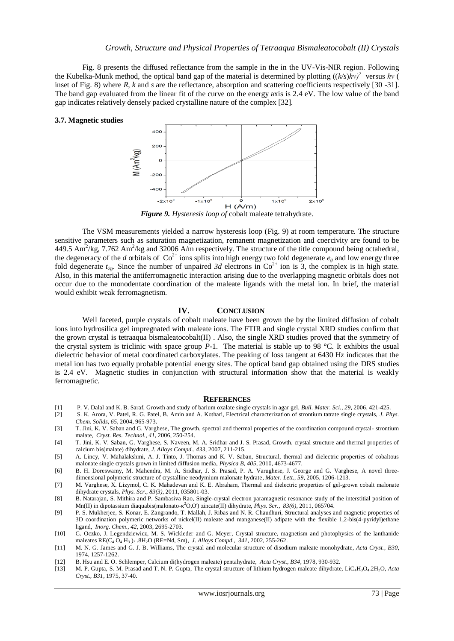Fig. 8 presents the diffused reflectance from the sample in the in the UV-Vis-NIR region. Following the Kubelka-Munk method, the optical band gap of the material is determined by plotting ((*k/s*)*hν)<sup>2</sup>* versus *hν* ( inset of Fig. 8) where *R*, *k* and *s* are the reflectance, absorption and scattering coefficients respectively [30 -31]. The band gap evaluated from the linear fit of the curve on the energy axis is 2.4 eV. The low value of the band gap indicates relatively densely packed crystalline nature of the complex [32].

#### **3.7. Magnetic studies**



The VSM measurements yielded a narrow hysteresis loop (Fig. 9) at room temperature. The structure sensitive parameters such as saturation magnetization, remanent magnetization and coercivity are found to be 449.5 Am<sup>2</sup>/kg, 7.762 Am<sup>2</sup>/kg and 32006 A/m respectively. The structure of the title compound being octahedral, the degeneracy of the *d* orbitals of  $Co^{2+}$  ions splits into high energy two fold degenerate  $e_g$  and low energy three fold degenerate  $t_{2g}$ . Since the number of unpaired 3d electrons in  $Co^{2+}$  ion is 3, the complex is in high state. Also, in this material the antiferromagnetic interaction arising due to the overlapping magnetic orbitals does not occur due to the monodentate coordination of the maleate ligands with the metal ion. In brief, the material would exhibit weak ferromagnetism.

## **IV. CONCLUSION**

Well faceted, purple crystals of cobalt maleate have been grown the by the limited diffusion of cobalt ions into hydrosilica gel impregnated with maleate ions. The FTIR and single crystal XRD studies confirm that the grown crystal is tetraaqua bismaleatocobalt(II) . Also, the single XRD studies proved that the symmetry of the crystal system is triclinic with space group *P*-1. The material is stable up to 98 °C. It exhibits the usual dielectric behavior of metal coordinated carboxylates. The peaking of loss tangent at 6430 Hz indicates that the metal ion has two equally probable potential energy sites. The optical band gap obtained using the DRS studies is 2.4 eV. Magnetic studies in conjunction with structural information show that the material is weakly ferromagnetic.

#### **REFERENCES**

- [1] P. V. Dalal and K. B. Saraf, Growth and study of barium oxalate single crystals in agar gel, *Bull. Mater. Sci., 29*, 2006, 421-425.
- [2] S. K. Arora, V. Patel, R. G. Patel, B. Amin and A. Kothari, Electrical characterization of strontium tatrate single crystals, *J. Phys. Chem. Solids, 65,* 2004, 965-973.
- [3] T. Jini, K. V. Saban and G. Varghese, The growth, spectral and thermal properties of the coordination compound crystal- strontium malate, *Cryst. Res. Technol., 41,* 2006, 250-254.
- [4] T. Jini, K. V. Saban, G. Varghese, S. Naveen, M. A. Sridhar and J. S. Prasad, Growth, crystal structure and thermal properties of calcium bis(malate) dihydrate, *J. Alloys Compd., 433,* 2007, 211-215.
- [5] A. Lincy, V. Mahalakshmi, A. J. Tinto, J. Thomas and K. V. Saban, Structural, thermal and dielectric properties of cobaltous malonate single crystals grown in limited diffusion media, *Physica B, 405,* 2010, 4673-4677.
- [6] B. H. Doreswamy, M. Mahendra, M. A. Sridhar, J. S. Prasad, P. A. Varughese, J. George and G. Varghese, A novel threedimensional polymeric structure of crystalline neodymium malonate hydrate, *Mater. Lett., 59,* 2005, 1206-1213.
- [7] M. Varghese, X. Lizymol, C. K. Mahadevan and K. E. Abraham, Thermal and dielectric properties of gel-grown cobalt malonate dihydrate crystals, *Phys. Scr*., *83(3),* 2011, 035801-03.
- [8] B. Natarajan, S. Mithira and P. Sambasiva Rao, Single-crystal electron paramagnetic resonance study of the interstitial position of Mn(II) in dipotassium diaquabis(malonato-κ <sup>2</sup>O,O') zincate(II) dihydrate, *Phys. Scr., 83(6),* 2011, 065704.
- [9] P. S. Mukherjee, S. Konar, E. Zangrando, T. Mallah, J. Ribas and N. R. Chaudhuri, Structural analyses and magnetic properties of 3D coordination polymeric networks of nickel(II) maleate and manganese(II) adipate with the flexible 1,2-bis(4-pyridyl)ethane ligand, *Inorg. Chem*., *42,* 2003, 2695-2703.
- [10] G. Oczko, J. Legendziewicz, M. S. Wickleder and G. Meyer, Crystal structure, magnetism and photophysics of the lanthanide maleates RE(C<sub>4</sub> O<sub>4</sub> H<sub>3</sub>)<sub>3</sub>.8H<sub>2</sub>O (RE=Nd, Sm), *J. Alloys Compd., 341,* 2002, 255-262.
- [11] M. N. G. James and G. J. B. Williams, The crystal and molecular structure of disodiurn maleate monohydrate, *Acta Cryst., B30,* 1974, 1257-1262.
- [12] B. Hsu and E. O. Schlemper, Calcium di(hydrogen maleate) pentahydrate, *Acta Cryst., B34,* 1978, 930-932.
- [13] M. P. Gupta, S. M. Prasad and T. N. P. Gupta, The crystal structure of lithium hydrogen maleate dihydrate, LiC4H3O4.2H2O, *Acta Cryst., B31,* 1975, 37-40.